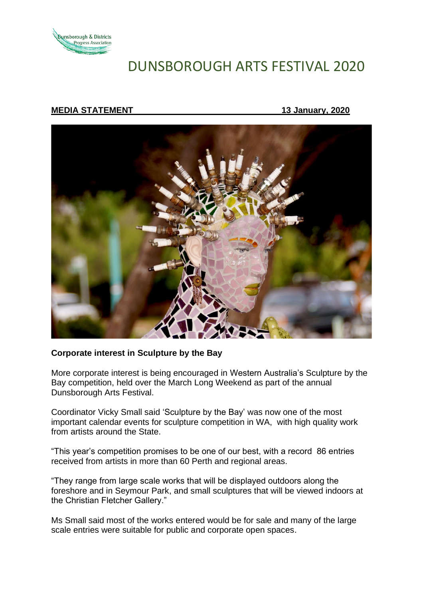

# DUNSBOROUGH ARTS FESTIVAL 2020

## **MEDIA STATEMENT 13 January, 2020**



### **Corporate interest in Sculpture by the Bay**

More corporate interest is being encouraged in Western Australia's Sculpture by the Bay competition, held over the March Long Weekend as part of the annual Dunsborough Arts Festival.

Coordinator Vicky Small said 'Sculpture by the Bay' was now one of the most important calendar events for sculpture competition in WA, with high quality work from artists around the State.

"This year's competition promises to be one of our best, with a record 86 entries received from artists in more than 60 Perth and regional areas.

"They range from large scale works that will be displayed outdoors along the foreshore and in Seymour Park, and small sculptures that will be viewed indoors at the Christian Fletcher Gallery."

Ms Small said most of the works entered would be for sale and many of the large scale entries were suitable for public and corporate open spaces.